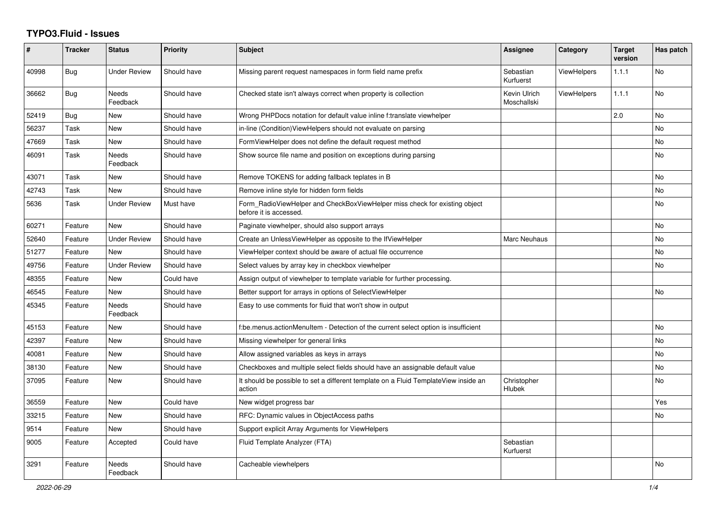## **TYPO3.Fluid - Issues**

| #     | Tracker    | <b>Status</b>       | <b>Priority</b> | Subject                                                                                              | Assignee                    | Category           | <b>Target</b><br>version | Has patch |
|-------|------------|---------------------|-----------------|------------------------------------------------------------------------------------------------------|-----------------------------|--------------------|--------------------------|-----------|
| 40998 | <b>Bug</b> | <b>Under Review</b> | Should have     | Missing parent request namespaces in form field name prefix                                          | Sebastian<br>Kurfuerst      | ViewHelpers        | 1.1.1                    | No        |
| 36662 | Bug        | Needs<br>Feedback   | Should have     | Checked state isn't always correct when property is collection                                       | Kevin Ulrich<br>Moschallski | <b>ViewHelpers</b> | 1.1.1                    | No        |
| 52419 | Bug        | New                 | Should have     | Wrong PHPDocs notation for default value inline f:translate viewhelper                               |                             |                    | 2.0                      | No        |
| 56237 | Task       | New                 | Should have     | in-line (Condition) View Helpers should not evaluate on parsing                                      |                             |                    |                          | <b>No</b> |
| 47669 | Task       | New                 | Should have     | FormViewHelper does not define the default request method                                            |                             |                    |                          | <b>No</b> |
| 46091 | Task       | Needs<br>Feedback   | Should have     | Show source file name and position on exceptions during parsing                                      |                             |                    |                          | <b>No</b> |
| 43071 | Task       | <b>New</b>          | Should have     | Remove TOKENS for adding fallback teplates in B                                                      |                             |                    |                          | <b>No</b> |
| 42743 | Task       | <b>New</b>          | Should have     | Remove inline style for hidden form fields                                                           |                             |                    |                          | No        |
| 5636  | Task       | <b>Under Review</b> | Must have       | Form_RadioViewHelper and CheckBoxViewHelper miss check for existing object<br>before it is accessed. |                             |                    |                          | <b>No</b> |
| 60271 | Feature    | <b>New</b>          | Should have     | Paginate viewhelper, should also support arrays                                                      |                             |                    |                          | <b>No</b> |
| 52640 | Feature    | <b>Under Review</b> | Should have     | Create an UnlessViewHelper as opposite to the IfViewHelper                                           | Marc Neuhaus                |                    |                          | <b>No</b> |
| 51277 | Feature    | New                 | Should have     | ViewHelper context should be aware of actual file occurrence                                         |                             |                    |                          | No        |
| 49756 | Feature    | <b>Under Review</b> | Should have     | Select values by array key in checkbox viewhelper                                                    |                             |                    |                          | No        |
| 48355 | Feature    | New                 | Could have      | Assign output of viewhelper to template variable for further processing.                             |                             |                    |                          |           |
| 46545 | Feature    | New                 | Should have     | Better support for arrays in options of SelectViewHelper                                             |                             |                    |                          | <b>No</b> |
| 45345 | Feature    | Needs<br>Feedback   | Should have     | Easy to use comments for fluid that won't show in output                                             |                             |                    |                          |           |
| 45153 | Feature    | New                 | Should have     | f:be.menus.actionMenuItem - Detection of the current select option is insufficient                   |                             |                    |                          | No        |
| 42397 | Feature    | <b>New</b>          | Should have     | Missing viewhelper for general links                                                                 |                             |                    |                          | No        |
| 40081 | Feature    | <b>New</b>          | Should have     | Allow assigned variables as keys in arrays                                                           |                             |                    |                          | <b>No</b> |
| 38130 | Feature    | New                 | Should have     | Checkboxes and multiple select fields should have an assignable default value                        |                             |                    |                          | <b>No</b> |
| 37095 | Feature    | New                 | Should have     | It should be possible to set a different template on a Fluid TemplateView inside an<br>action        | Christopher<br>Hlubek       |                    |                          | No        |
| 36559 | Feature    | New                 | Could have      | New widget progress bar                                                                              |                             |                    |                          | Yes       |
| 33215 | Feature    | New                 | Should have     | RFC: Dynamic values in ObjectAccess paths                                                            |                             |                    |                          | No        |
| 9514  | Feature    | New                 | Should have     | Support explicit Array Arguments for ViewHelpers                                                     |                             |                    |                          |           |
| 9005  | Feature    | Accepted            | Could have      | Fluid Template Analyzer (FTA)                                                                        | Sebastian<br>Kurfuerst      |                    |                          |           |
| 3291  | Feature    | Needs<br>Feedback   | Should have     | Cacheable viewhelpers                                                                                |                             |                    |                          | No        |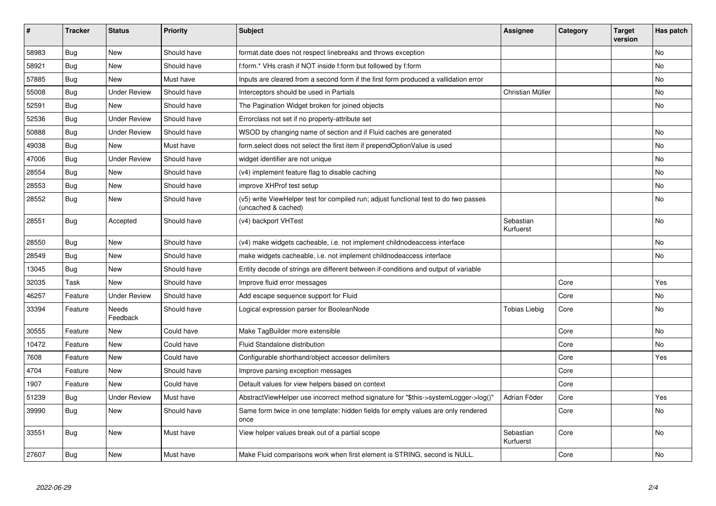| #     | <b>Tracker</b> | <b>Status</b>            | <b>Priority</b> | Subject                                                                                                     | <b>Assignee</b>        | Category | <b>Target</b><br>version | Has patch |
|-------|----------------|--------------------------|-----------------|-------------------------------------------------------------------------------------------------------------|------------------------|----------|--------------------------|-----------|
| 58983 | Bug            | <b>New</b>               | Should have     | format.date does not respect linebreaks and throws exception                                                |                        |          |                          | No.       |
| 58921 | Bug            | New                      | Should have     | f:form.* VHs crash if NOT inside f:form but followed by f:form                                              |                        |          |                          | No        |
| 57885 | Bug            | <b>New</b>               | Must have       | Inputs are cleared from a second form if the first form produced a vallidation error                        |                        |          |                          | No        |
| 55008 | Bug            | <b>Under Review</b>      | Should have     | Interceptors should be used in Partials                                                                     | Christian Müller       |          |                          | No        |
| 52591 | Bug            | New                      | Should have     | The Pagination Widget broken for joined objects                                                             |                        |          |                          | No        |
| 52536 | <b>Bug</b>     | <b>Under Review</b>      | Should have     | Errorclass not set if no property-attribute set                                                             |                        |          |                          |           |
| 50888 | Bug            | <b>Under Review</b>      | Should have     | WSOD by changing name of section and if Fluid caches are generated                                          |                        |          |                          | No        |
| 49038 | <b>Bug</b>     | <b>New</b>               | Must have       | form.select does not select the first item if prependOptionValue is used                                    |                        |          |                          | No        |
| 47006 | Bug            | <b>Under Review</b>      | Should have     | widget identifier are not unique                                                                            |                        |          |                          | No.       |
| 28554 | Bug            | New                      | Should have     | (v4) implement feature flag to disable caching                                                              |                        |          |                          | No        |
| 28553 | <b>Bug</b>     | New                      | Should have     | improve XHProf test setup                                                                                   |                        |          |                          | No        |
| 28552 | Bug            | New                      | Should have     | (v5) write ViewHelper test for compiled run; adjust functional test to do two passes<br>(uncached & cached) |                        |          |                          | No        |
| 28551 | <b>Bug</b>     | Accepted                 | Should have     | (v4) backport VHTest                                                                                        | Sebastian<br>Kurfuerst |          |                          | No        |
| 28550 | Bug            | New                      | Should have     | (v4) make widgets cacheable, i.e. not implement childnodeaccess interface                                   |                        |          |                          | No        |
| 28549 | Bug            | New                      | Should have     | make widgets cacheable, i.e. not implement childnodeaccess interface                                        |                        |          |                          | No        |
| 13045 | Bug            | New                      | Should have     | Entity decode of strings are different between if-conditions and output of variable                         |                        |          |                          |           |
| 32035 | Task           | <b>New</b>               | Should have     | Improve fluid error messages                                                                                |                        | Core     |                          | Yes       |
| 46257 | Feature        | <b>Under Review</b>      | Should have     | Add escape sequence support for Fluid                                                                       |                        | Core     |                          | No        |
| 33394 | Feature        | <b>Needs</b><br>Feedback | Should have     | Logical expression parser for BooleanNode                                                                   | Tobias Liebig          | Core     |                          | <b>No</b> |
| 30555 | Feature        | <b>New</b>               | Could have      | Make TagBuilder more extensible                                                                             |                        | Core     |                          | No        |
| 10472 | Feature        | <b>New</b>               | Could have      | <b>Fluid Standalone distribution</b>                                                                        |                        | Core     |                          | No        |
| 7608  | Feature        | <b>New</b>               | Could have      | Configurable shorthand/object accessor delimiters                                                           |                        | Core     |                          | Yes       |
| 4704  | Feature        | <b>New</b>               | Should have     | Improve parsing exception messages                                                                          |                        | Core     |                          |           |
| 1907  | Feature        | New                      | Could have      | Default values for view helpers based on context                                                            |                        | Core     |                          |           |
| 51239 | Bug            | <b>Under Review</b>      | Must have       | AbstractViewHelper use incorrect method signature for "\$this->systemLogger->log()"                         | Adrian Föder           | Core     |                          | Yes       |
| 39990 | Bug            | <b>New</b>               | Should have     | Same form twice in one template: hidden fields for empty values are only rendered<br>once                   |                        | Core     |                          | No.       |
| 33551 | Bug            | <b>New</b>               | Must have       | View helper values break out of a partial scope                                                             | Sebastian<br>Kurfuerst | Core     |                          | No        |
| 27607 | Bug            | New                      | Must have       | Make Fluid comparisons work when first element is STRING, second is NULL.                                   |                        | Core     |                          | No        |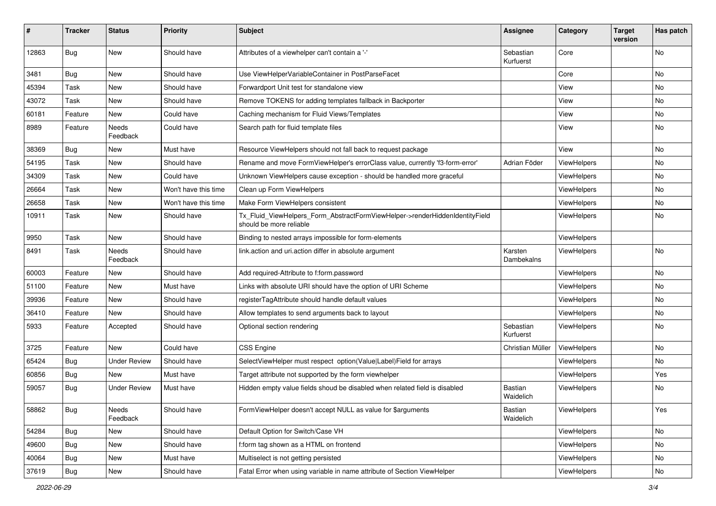| ∦     | <b>Tracker</b> | <b>Status</b>            | <b>Priority</b>      | Subject                                                                                                | <b>Assignee</b>             | Category    | <b>Target</b><br>version | Has patch |
|-------|----------------|--------------------------|----------------------|--------------------------------------------------------------------------------------------------------|-----------------------------|-------------|--------------------------|-----------|
| 12863 | Bug            | New                      | Should have          | Attributes of a viewhelper can't contain a '-'                                                         | Sebastian<br>Kurfuerst      | Core        |                          | No        |
| 3481  | Bug            | New                      | Should have          | Use ViewHelperVariableContainer in PostParseFacet                                                      |                             | Core        |                          | No        |
| 45394 | Task           | New                      | Should have          | Forwardport Unit test for standalone view                                                              |                             | View        |                          | No        |
| 43072 | Task           | New                      | Should have          | Remove TOKENS for adding templates fallback in Backporter                                              |                             | View        |                          | No        |
| 60181 | Feature        | <b>New</b>               | Could have           | Caching mechanism for Fluid Views/Templates                                                            |                             | View        |                          | No.       |
| 8989  | Feature        | Needs<br>Feedback        | Could have           | Search path for fluid template files                                                                   |                             | View        |                          | No        |
| 38369 | <b>Bug</b>     | New                      | Must have            | Resource ViewHelpers should not fall back to request package                                           |                             | View        |                          | No        |
| 54195 | Task           | New                      | Should have          | Rename and move FormViewHelper's errorClass value, currently 'f3-form-error'                           | Adrian Föder                | ViewHelpers |                          | No        |
| 34309 | Task           | New                      | Could have           | Unknown ViewHelpers cause exception - should be handled more graceful                                  |                             | ViewHelpers |                          | No        |
| 26664 | Task           | New                      | Won't have this time | Clean up Form ViewHelpers                                                                              |                             | ViewHelpers |                          | No        |
| 26658 | Task           | New                      | Won't have this time | Make Form ViewHelpers consistent                                                                       |                             | ViewHelpers |                          | No        |
| 10911 | Task           | New                      | Should have          | Tx_Fluid_ViewHelpers_Form_AbstractFormViewHelper->renderHiddenIdentityField<br>should be more reliable |                             | ViewHelpers |                          | No        |
| 9950  | Task           | New                      | Should have          | Binding to nested arrays impossible for form-elements                                                  |                             | ViewHelpers |                          |           |
| 8491  | Task           | <b>Needs</b><br>Feedback | Should have          | link.action and uri.action differ in absolute argument                                                 | Karsten<br>Dambekalns       | ViewHelpers |                          | No        |
| 60003 | Feature        | New                      | Should have          | Add required-Attribute to f:form.password                                                              |                             | ViewHelpers |                          | No        |
| 51100 | Feature        | New                      | Must have            | Links with absolute URI should have the option of URI Scheme                                           |                             | ViewHelpers |                          | No.       |
| 39936 | Feature        | New                      | Should have          | registerTagAttribute should handle default values                                                      |                             | ViewHelpers |                          | No        |
| 36410 | Feature        | <b>New</b>               | Should have          | Allow templates to send arguments back to layout                                                       |                             | ViewHelpers |                          | No.       |
| 5933  | Feature        | Accepted                 | Should have          | Optional section rendering                                                                             | Sebastian<br>Kurfuerst      | ViewHelpers |                          | No        |
| 3725  | Feature        | <b>New</b>               | Could have           | <b>CSS Engine</b>                                                                                      | Christian Müller            | ViewHelpers |                          | No        |
| 65424 | <b>Bug</b>     | <b>Under Review</b>      | Should have          | SelectViewHelper must respect option(Value Label)Field for arrays                                      |                             | ViewHelpers |                          | No.       |
| 60856 | Bug            | New                      | Must have            | Target attribute not supported by the form viewhelper                                                  |                             | ViewHelpers |                          | Yes       |
| 59057 | Bug            | <b>Under Review</b>      | Must have            | Hidden empty value fields shoud be disabled when related field is disabled                             | <b>Bastian</b><br>Waidelich | ViewHelpers |                          | No        |
| 58862 | <b>Bug</b>     | Needs<br>Feedback        | Should have          | FormViewHelper doesn't accept NULL as value for \$arguments                                            | Bastian<br>Waidelich        | ViewHelpers |                          | Yes       |
| 54284 | Bug            | New                      | Should have          | Default Option for Switch/Case VH                                                                      |                             | ViewHelpers |                          | No        |
| 49600 | Bug            | New                      | Should have          | f:form tag shown as a HTML on frontend                                                                 |                             | ViewHelpers |                          | No        |
| 40064 | <b>Bug</b>     | New                      | Must have            | Multiselect is not getting persisted                                                                   |                             | ViewHelpers |                          | No        |
| 37619 | <b>Bug</b>     | New                      | Should have          | Fatal Error when using variable in name attribute of Section ViewHelper                                |                             | ViewHelpers |                          | No        |